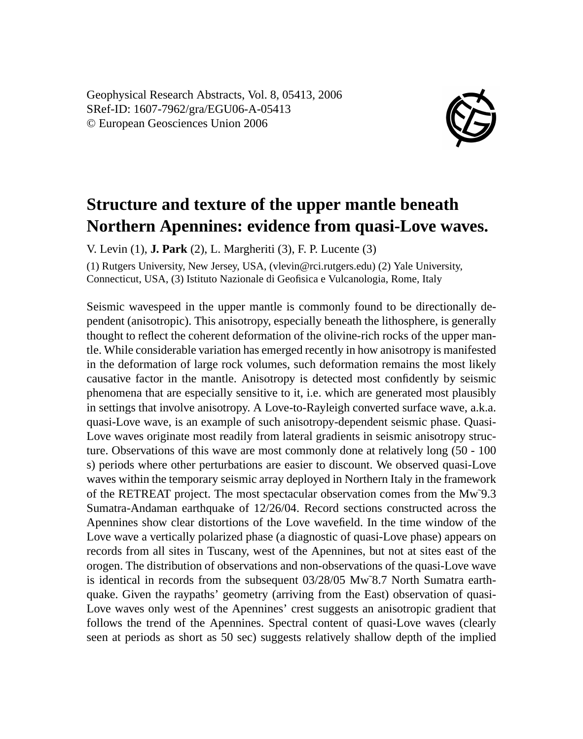Geophysical Research Abstracts, Vol. 8, 05413, 2006 SRef-ID: 1607-7962/gra/EGU06-A-05413 © European Geosciences Union 2006



## **Structure and texture of the upper mantle beneath Northern Apennines: evidence from quasi-Love waves.**

V. Levin (1), **J. Park** (2), L. Margheriti (3), F. P. Lucente (3)

(1) Rutgers University, New Jersey, USA, (vlevin@rci.rutgers.edu) (2) Yale University, Connecticut, USA, (3) Istituto Nazionale di Geofisica e Vulcanologia, Rome, Italy

Seismic wavespeed in the upper mantle is commonly found to be directionally dependent (anisotropic). This anisotropy, especially beneath the lithosphere, is generally thought to reflect the coherent deformation of the olivine-rich rocks of the upper mantle. While considerable variation has emerged recently in how anisotropy is manifested in the deformation of large rock volumes, such deformation remains the most likely causative factor in the mantle. Anisotropy is detected most confidently by seismic phenomena that are especially sensitive to it, i.e. which are generated most plausibly in settings that involve anisotropy. A Love-to-Rayleigh converted surface wave, a.k.a. quasi-Love wave, is an example of such anisotropy-dependent seismic phase. Quasi-Love waves originate most readily from lateral gradients in seismic anisotropy structure. Observations of this wave are most commonly done at relatively long (50 - 100 s) periods where other perturbations are easier to discount. We observed quasi-Love waves within the temporary seismic array deployed in Northern Italy in the framework of the RETREAT project. The most spectacular observation comes from the Mw˜9.3 Sumatra-Andaman earthquake of 12/26/04. Record sections constructed across the Apennines show clear distortions of the Love wavefield. In the time window of the Love wave a vertically polarized phase (a diagnostic of quasi-Love phase) appears on records from all sites in Tuscany, west of the Apennines, but not at sites east of the orogen. The distribution of observations and non-observations of the quasi-Love wave is identical in records from the subsequent 03/28/05 Mw˜8.7 North Sumatra earthquake. Given the raypaths' geometry (arriving from the East) observation of quasi-Love waves only west of the Apennines' crest suggests an anisotropic gradient that follows the trend of the Apennines. Spectral content of quasi-Love waves (clearly seen at periods as short as 50 sec) suggests relatively shallow depth of the implied